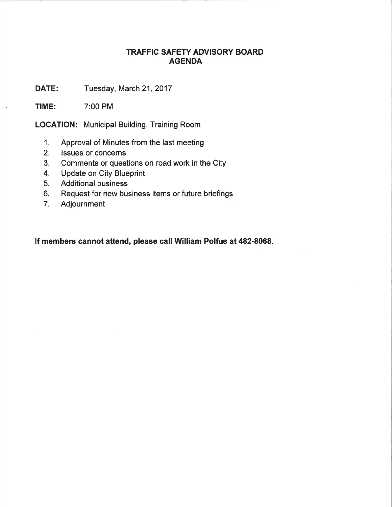## TRAFFIC SAFETY ADVISORY BOARD AGENDA

DATE: Tuesday, March 21, 2017

TIME: 7:00 PM

LOCATION: Municipal Building, Training Room

- 1. Approval of Minutes from the last meeting
- 2. lssues or concerns
- 3. Comments or questions on road work in the City
- 4. Update on City Blueprint
- 5. Additional business
- 6. Request for new business items or future briefings
- 7. Adjournment

lf members cannot attend, please call William Polfus at 482-8068.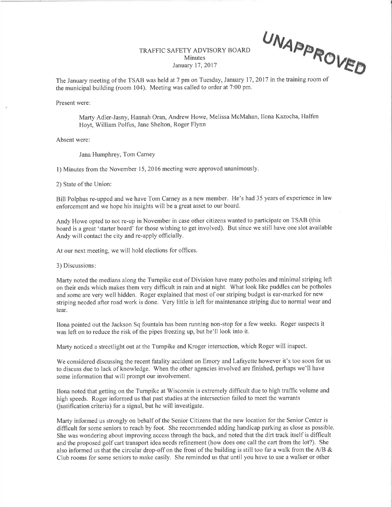UNAPPP. OVEÐ

TRAFFIC SAFETY ADVISORY BOARD **Minutes** January 17,2017

The January meeting of the TSAB was held at 7 pm on Tuesday, January 17, 2017 in the training room of the municipal building (room 104). Meeting was called to order at 7:00 pm.

Present were:

Marty Adler-Jasny, Hannah Oran, Andrew Howe, Melissa McMahan, Ilona Kazocha, Halfen Hoyt, William Polfus, Jane Shelton, Roger Flynn

Absent were:

Jana Humphrey, Tom Carney

1) Minutes from the November 15,2016 meeting were approved unanimously.

2) State of the Union:

Bill Polphus re-upped and we have Tom Carney as a new member. He's had 35 years of experience in law enforcement and we hope his insights will be a great asset to our board.

Andy Howe opted to not re-up in November in case other citizens wanted to participate on TSAB (this board is a great 'starter board' for those wishing to get involved). But since we still have one slot available Andy will contact the city and re-apply officially.

At our next meeting, we will hold elections for offices.

3) Discussions

Marty noted the medians along the Turnpike east of Division have many potholes and minimal striping left on their ends which makes them very difficult in rain and at night. 'What look like puddles can be potholes and some are very well hidden. Roger explained that most of our striping budget is ear-marked for new striping needed after road work is done. Very little is left for maintenance striping due to normal wear and tear.

Ilona pointed out the Jackson Sq fountain has been running non-stop for a few weeks. Roger suspects it was left on to reduce the risk of the pipes freezing up, but he'll look into it.

Marty noticed a streetlight out at the Turnpike and Kroger intersection, which Roger will inspect.

We considered discussing the recent fatality accident on Emory and Lafayette however it's too soon for us to discuss due to lack of knowledge. When the other agencies involved are finished, perhaps we'11 have some information that will prompt our involvement.

Ilona noted that getting on the Turnpike at 'Wisconsin is extremely diffrcult due to high traffic volume and high speeds. Roger informed us that past studies at the intersection failed to meet the warrants (ustification criteria) for a signal, but he will investigate.

Marty informed us strongly on behalf of the Senior Citizens that the new location for the Senior Center is difficult for some seniors to reach by foot. She recommended adding handicap parking as close as possible. She was wondering about improving access through the back, and noted that the dirt track itself is difficult and the proposed golf cart transport idea needs refinement (how does one call the cart from the lot?). She also informed us that the circular drop-off on the front of the building is still too far a walk from the A/B & Club rooms for some seniors to make easily. She reminded us that until you have to use a walker or other